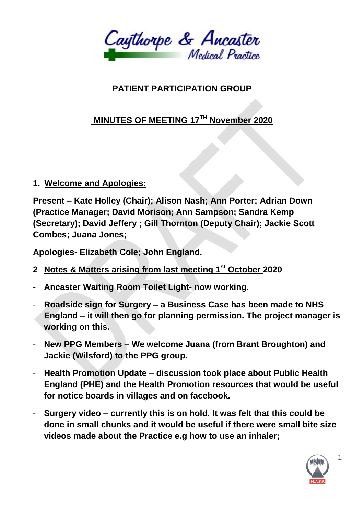

## **PATIENT PARTICIPATION GROUP**

# **MINUTES OF MEETING 17TH November 2020**

### **1. Welcome and Apologies:**

**Present – Kate Holley (Chair); Alison Nash; Ann Porter; Adrian Down (Practice Manager; David Morison; Ann Sampson; Sandra Kemp (Secretary); David Jeffery ; Gill Thornton (Deputy Chair); Jackie Scott Combes; Juana Jones;** 

**Apologies- Elizabeth Cole; John England.**

- **2 Notes & Matters arising from last meeting 1st October 2020**
- **Ancaster Waiting Room Toilet Light- now working.**
- **Roadside sign for Surgery – a Business Case has been made to NHS England – it will then go for planning permission. The project manager is working on this.**
- **New PPG Members – We welcome Juana (from Brant Broughton) and Jackie (Wilsford) to the PPG group.**
- **Health Promotion Update – discussion took place about Public Health England (PHE) and the Health Promotion resources that would be useful for notice boards in villages and on facebook.**
- **Surgery video – currently this is on hold. It was felt that this could be done in small chunks and it would be useful if there were small bite size videos made about the Practice e.g how to use an inhaler;**



1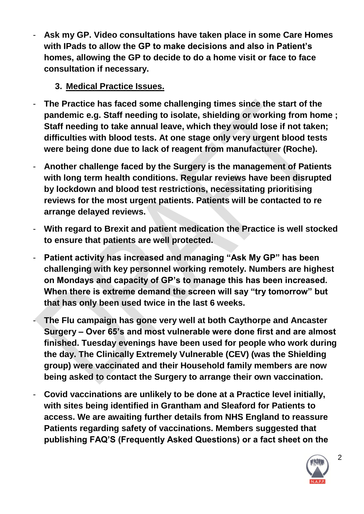- **Ask my GP. Video consultations have taken place in some Care Homes with IPads to allow the GP to make decisions and also in Patient's homes, allowing the GP to decide to do a home visit or face to face consultation if necessary.**

### **3. Medical Practice Issues.**

- **The Practice has faced some challenging times since the start of the pandemic e.g. Staff needing to isolate, shielding or working from home ; Staff needing to take annual leave, which they would lose if not taken; difficulties with blood tests. At one stage only very urgent blood tests were being done due to lack of reagent from manufacturer (Roche).**
- **Another challenge faced by the Surgery is the management of Patients with long term health conditions. Regular reviews have been disrupted by lockdown and blood test restrictions, necessitating prioritising reviews for the most urgent patients. Patients will be contacted to re arrange delayed reviews.**
- **With regard to Brexit and patient medication the Practice is well stocked to ensure that patients are well protected.**
- **Patient activity has increased and managing "Ask My GP" has been challenging with key personnel working remotely. Numbers are highest on Mondays and capacity of GP's to manage this has been increased. When there is extreme demand the screen will say "try tomorrow" but that has only been used twice in the last 6 weeks.**
- **The Flu campaign has gone very well at both Caythorpe and Ancaster Surgery – Over 65's and most vulnerable were done first and are almost finished. Tuesday evenings have been used for people who work during the day. The Clinically Extremely Vulnerable (CEV) (was the Shielding group) were vaccinated and their Household family members are now being asked to contact the Surgery to arrange their own vaccination.**
- **Covid vaccinations are unlikely to be done at a Practice level initially, with sites being identified in Grantham and Sleaford for Patients to access. We are awaiting further details from NHS England to reassure Patients regarding safety of vaccinations. Members suggested that publishing FAQ'S (Frequently Asked Questions) or a fact sheet on the**